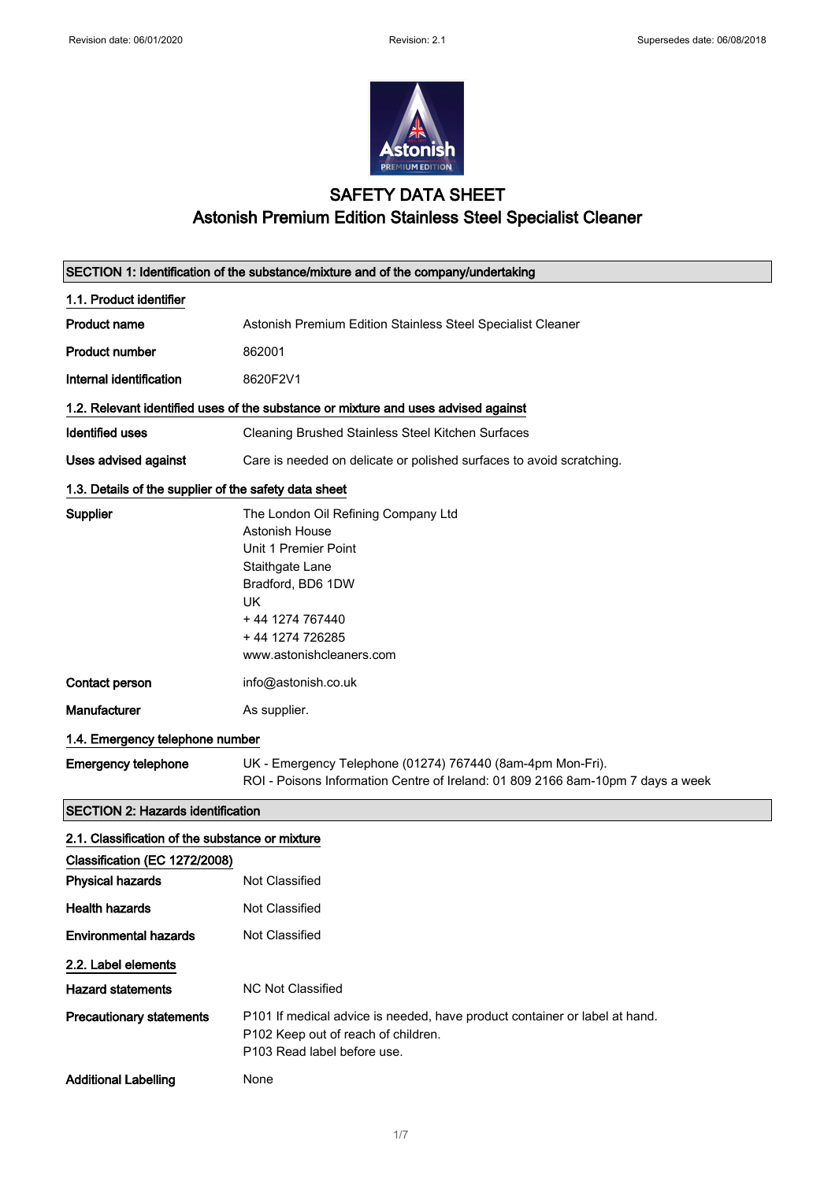$\overline{\phantom{a}}$ 



## SAFETY DATA SHEET Astonish Premium Edition Stainless Steel Specialist Cleaner

|                                                       | SECTION 1: Identification of the substance/mixture and of the company/undertaking                                                                                                             |
|-------------------------------------------------------|-----------------------------------------------------------------------------------------------------------------------------------------------------------------------------------------------|
| 1.1. Product identifier                               |                                                                                                                                                                                               |
| <b>Product name</b>                                   | Astonish Premium Edition Stainless Steel Specialist Cleaner                                                                                                                                   |
| <b>Product number</b>                                 | 862001                                                                                                                                                                                        |
| Internal identification                               | 8620F2V1                                                                                                                                                                                      |
|                                                       | 1.2. Relevant identified uses of the substance or mixture and uses advised against                                                                                                            |
| <b>Identified uses</b>                                | Cleaning Brushed Stainless Steel Kitchen Surfaces                                                                                                                                             |
| Uses advised against                                  | Care is needed on delicate or polished surfaces to avoid scratching.                                                                                                                          |
| 1.3. Details of the supplier of the safety data sheet |                                                                                                                                                                                               |
| <b>Supplier</b>                                       | The London Oil Refining Company Ltd<br>Astonish House<br>Unit 1 Premier Point<br>Staithgate Lane<br>Bradford, BD6 1DW<br>UK<br>+44 1274 767440<br>+44 1274 726285<br>www.astonishcleaners.com |
| Contact person                                        | info@astonish.co.uk                                                                                                                                                                           |
| Manufacturer                                          | As supplier.                                                                                                                                                                                  |
| 1.4. Emergency telephone number                       |                                                                                                                                                                                               |
| <b>Emergency telephone</b>                            | UK - Emergency Telephone (01274) 767440 (8am-4pm Mon-Fri).<br>ROI - Poisons Information Centre of Ireland: 01 809 2166 8am-10pm 7 days a week                                                 |
| <b>SECTION 2: Hazards identification</b>              |                                                                                                                                                                                               |
| 2.1. Classification of the substance or mixture       |                                                                                                                                                                                               |
| Classification (EC 1272/2008)                         |                                                                                                                                                                                               |
| <b>Physical hazards</b>                               | Not Classified                                                                                                                                                                                |
| <b>Health hazards</b>                                 | Not Classified                                                                                                                                                                                |
| <b>Environmental hazards</b>                          | Not Classified                                                                                                                                                                                |
| 2.2. Label elements                                   |                                                                                                                                                                                               |
| <b>Hazard statements</b>                              | <b>NC Not Classified</b>                                                                                                                                                                      |
| <b>Precautionary statements</b>                       | P101 If medical advice is needed, have product container or label at hand.<br>P102 Keep out of reach of children.<br>P103 Read label before use.                                              |
| <b>Additional Labelling</b>                           | None                                                                                                                                                                                          |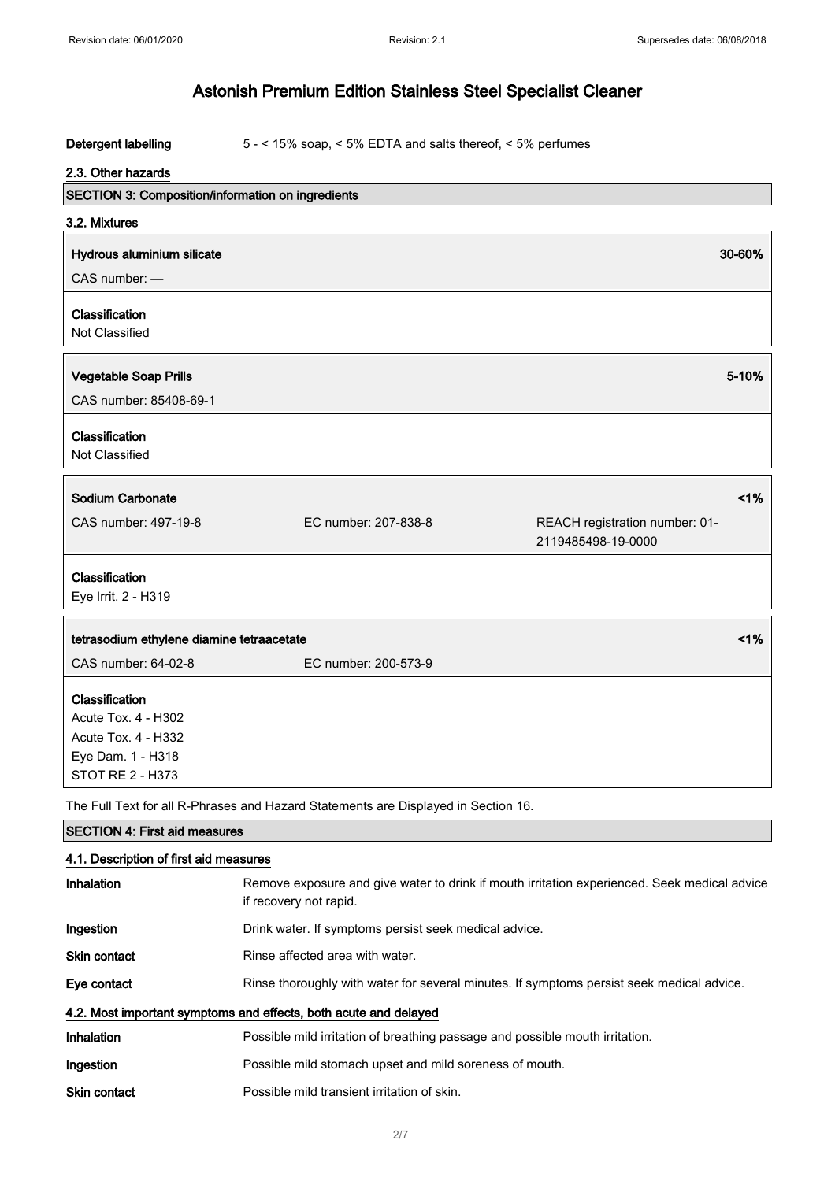#### Detergent labelling 5 - < 15% soap, < 5% EDTA and salts thereof, < 5% perfumes

#### 2.3. Other hazards

| SECTION 3: Composition/information on ingredients |                                                                                    |                                                      |
|---------------------------------------------------|------------------------------------------------------------------------------------|------------------------------------------------------|
| 3.2. Mixtures                                     |                                                                                    |                                                      |
| Hydrous aluminium silicate                        |                                                                                    | 30-60%                                               |
| CAS number: -                                     |                                                                                    |                                                      |
| Classification                                    |                                                                                    |                                                      |
| Not Classified                                    |                                                                                    |                                                      |
|                                                   |                                                                                    |                                                      |
| <b>Vegetable Soap Prills</b>                      |                                                                                    | 5-10%                                                |
| CAS number: 85408-69-1                            |                                                                                    |                                                      |
| Classification                                    |                                                                                    |                                                      |
| Not Classified                                    |                                                                                    |                                                      |
|                                                   |                                                                                    |                                                      |
| <b>Sodium Carbonate</b>                           |                                                                                    | 1%                                                   |
| CAS number: 497-19-8                              | EC number: 207-838-8                                                               | REACH registration number: 01-<br>2119485498-19-0000 |
| Classification                                    |                                                                                    |                                                      |
| Eye Irrit. 2 - H319                               |                                                                                    |                                                      |
| tetrasodium ethylene diamine tetraacetate         |                                                                                    | 1%                                                   |
| CAS number: 64-02-8                               | EC number: 200-573-9                                                               |                                                      |
|                                                   |                                                                                    |                                                      |
| Classification                                    |                                                                                    |                                                      |
| Acute Tox. 4 - H302                               |                                                                                    |                                                      |
| <b>Acute Tox. 4 - H332</b>                        |                                                                                    |                                                      |
| Eye Dam. 1 - H318                                 |                                                                                    |                                                      |
| <b>STOT RE 2 - H373</b>                           |                                                                                    |                                                      |
|                                                   | The Full Text for all R-Phrases and Hazard Statements are Displayed in Section 16. |                                                      |

SECTION 4: First aid measures 4.1. Description of first aid measures Inhalation Remove exposure and give water to drink if mouth irritation experienced. Seek medical advice if recovery not rapid. Ingestion **Drink water.** If symptoms persist seek medical advice. Skin contact Rinse affected area with water.

Eye contact **Rinse thoroughly with water for several minutes.** If symptoms persist seek medical advice. 4.2. Most important symptoms and effects, both acute and delayed Inhalation **Possible mild irritation of breathing passage and possible mouth irritation.** Ingestion **Possible mild stomach upset and mild soreness of mouth.** Skin contact **Possible mild transient irritation of skin.**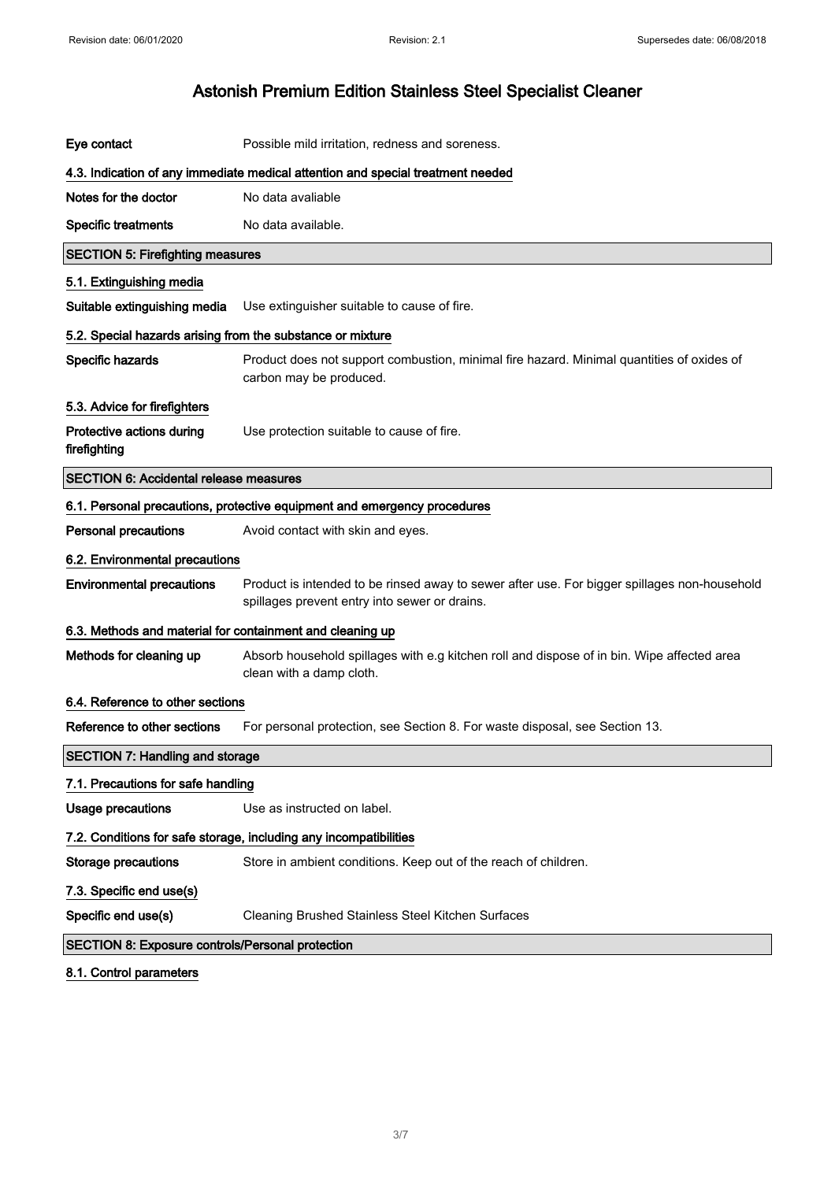| Eye contact                                                                     | Possible mild irritation, redness and soreness.                                                                                               |
|---------------------------------------------------------------------------------|-----------------------------------------------------------------------------------------------------------------------------------------------|
| 4.3. Indication of any immediate medical attention and special treatment needed |                                                                                                                                               |
| Notes for the doctor                                                            | No data avaliable                                                                                                                             |
| <b>Specific treatments</b>                                                      | No data available.                                                                                                                            |
| <b>SECTION 5: Firefighting measures</b>                                         |                                                                                                                                               |
| 5.1. Extinguishing media                                                        |                                                                                                                                               |
| Suitable extinguishing media                                                    | Use extinguisher suitable to cause of fire.                                                                                                   |
| 5.2. Special hazards arising from the substance or mixture                      |                                                                                                                                               |
| Specific hazards                                                                | Product does not support combustion, minimal fire hazard. Minimal quantities of oxides of<br>carbon may be produced.                          |
| 5.3. Advice for firefighters                                                    |                                                                                                                                               |
| Protective actions during<br>firefighting                                       | Use protection suitable to cause of fire.                                                                                                     |
| <b>SECTION 6: Accidental release measures</b>                                   |                                                                                                                                               |
|                                                                                 | 6.1. Personal precautions, protective equipment and emergency procedures                                                                      |
| <b>Personal precautions</b>                                                     | Avoid contact with skin and eyes.                                                                                                             |
| 6.2. Environmental precautions                                                  |                                                                                                                                               |
| <b>Environmental precautions</b>                                                | Product is intended to be rinsed away to sewer after use. For bigger spillages non-household<br>spillages prevent entry into sewer or drains. |
| 6.3. Methods and material for containment and cleaning up                       |                                                                                                                                               |
| Methods for cleaning up                                                         | Absorb household spillages with e.g kitchen roll and dispose of in bin. Wipe affected area<br>clean with a damp cloth.                        |
| 6.4. Reference to other sections                                                |                                                                                                                                               |
| Reference to other sections                                                     | For personal protection, see Section 8. For waste disposal, see Section 13.                                                                   |
| <b>SECTION 7: Handling and storage</b>                                          |                                                                                                                                               |
| 7.1. Precautions for safe handling                                              |                                                                                                                                               |
| <b>Usage precautions</b>                                                        | Use as instructed on label.                                                                                                                   |
| 7.2. Conditions for safe storage, including any incompatibilities               |                                                                                                                                               |
| <b>Storage precautions</b>                                                      | Store in ambient conditions. Keep out of the reach of children.                                                                               |
| 7.3. Specific end use(s)                                                        |                                                                                                                                               |
| Specific end use(s)                                                             | Cleaning Brushed Stainless Steel Kitchen Surfaces                                                                                             |
| SECTION 8: Exposure controls/Personal protection                                |                                                                                                                                               |
| 8.1. Control parameters                                                         |                                                                                                                                               |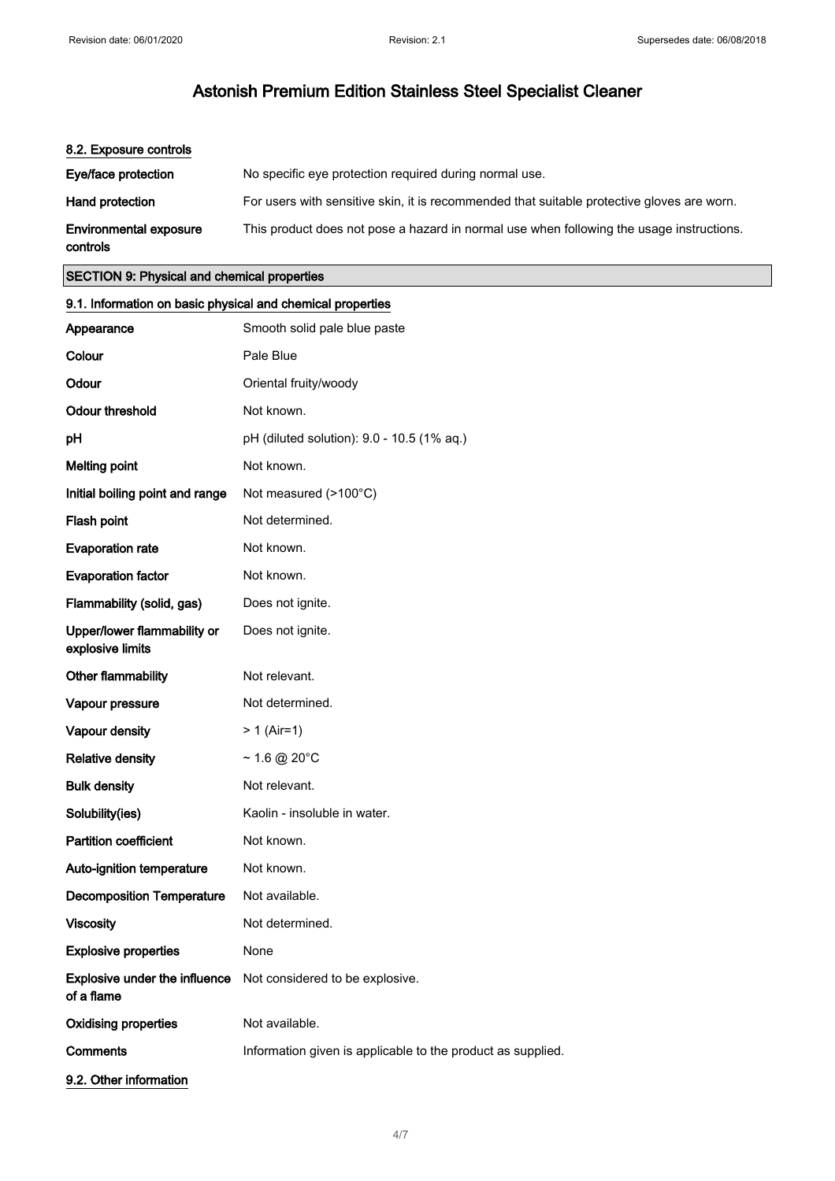| 8.2. Exposure controls                    |                                                                                            |
|-------------------------------------------|--------------------------------------------------------------------------------------------|
| Eye/face protection                       | No specific eye protection required during normal use.                                     |
| <b>Hand protection</b>                    | For users with sensitive skin, it is recommended that suitable protective gloves are worn. |
| <b>Environmental exposure</b><br>controls | This product does not pose a hazard in normal use when following the usage instructions.   |

#### SECTION 9: Physical and chemical properties

## 9.1. Information on basic physical and chemical properties Appearance Smooth solid pale blue paste Colour Pale Blue Odour **Oriental fruity/woody** Odour threshold Not known. **pH** (diluted solution): 9.0 - 10.5 (1% aq.) **Melting point Not known.** Initial boiling point and range Not measured (>100°C) Flash point Not determined. Evaporation rate Mot known. Evaporation factor **Not known**. Flammability (solid, gas) Does not ignite. Upper/lower flammability or explosive limits Does not ignite. Other flammability Mot relevant. Vapour pressure Not determined. Vapour density  $> 1$  (Air=1) Relative density  $\sim 1.6 \text{ @ } 20^{\circ}$ C Bulk density Not relevant. Solubility(ies) Kaolin - insoluble in water. Partition coefficient Not known. Auto-ignition temperature Not known. Decomposition Temperature Not available. Viscosity **Not determined.** Explosive properties None Explosive under the influence of a flame Not considered to be explosive. Oxidising properties Not available. **Comments** Information given is applicable to the product as supplied. 9.2. Other information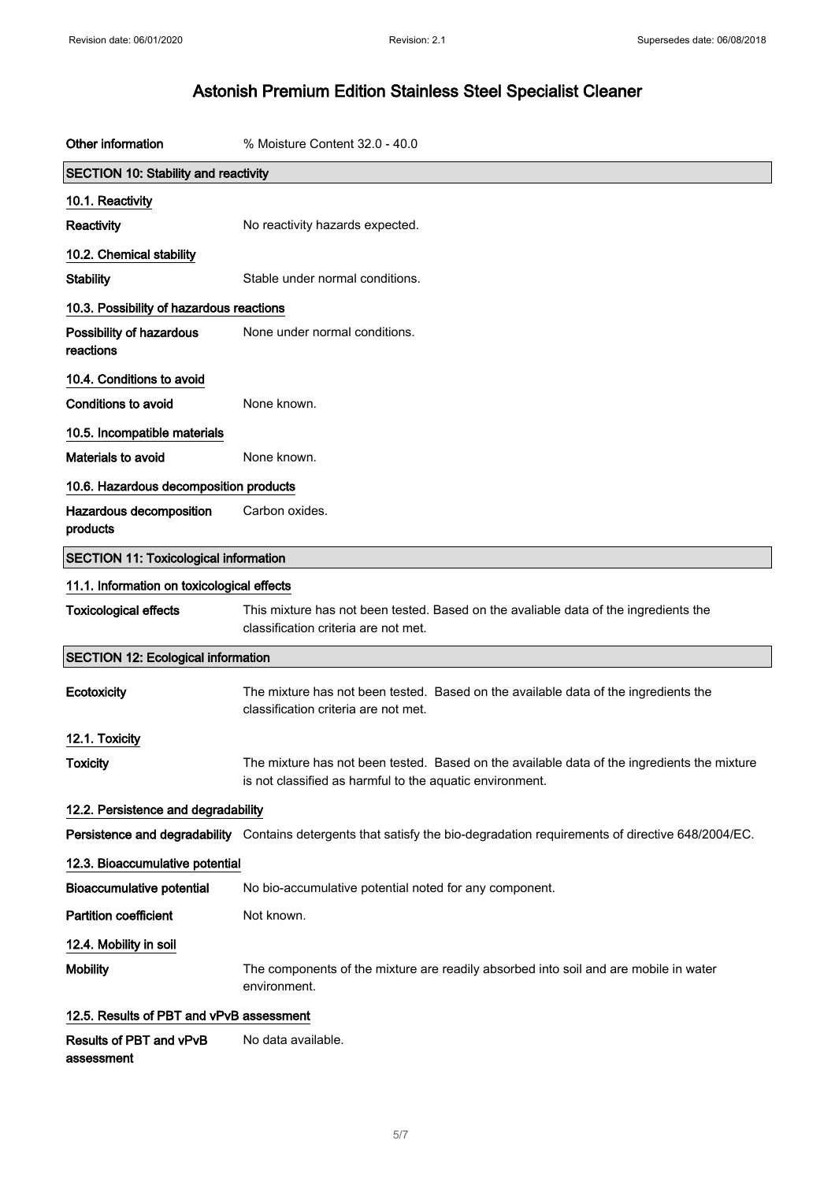| Other information                            | % Moisture Content 32.0 - 40.0                                                                                                                          |  |
|----------------------------------------------|---------------------------------------------------------------------------------------------------------------------------------------------------------|--|
| <b>SECTION 10: Stability and reactivity</b>  |                                                                                                                                                         |  |
| 10.1. Reactivity                             |                                                                                                                                                         |  |
| Reactivity                                   | No reactivity hazards expected.                                                                                                                         |  |
| 10.2. Chemical stability                     |                                                                                                                                                         |  |
| <b>Stability</b>                             | Stable under normal conditions.                                                                                                                         |  |
| 10.3. Possibility of hazardous reactions     |                                                                                                                                                         |  |
| Possibility of hazardous<br>reactions        | None under normal conditions.                                                                                                                           |  |
| 10.4. Conditions to avoid                    |                                                                                                                                                         |  |
| <b>Conditions to avoid</b>                   | None known.                                                                                                                                             |  |
| 10.5. Incompatible materials                 |                                                                                                                                                         |  |
| Materials to avoid                           | None known.                                                                                                                                             |  |
| 10.6. Hazardous decomposition products       |                                                                                                                                                         |  |
| Hazardous decomposition<br>products          | Carbon oxides.                                                                                                                                          |  |
| <b>SECTION 11: Toxicological information</b> |                                                                                                                                                         |  |
| 11.1. Information on toxicological effects   |                                                                                                                                                         |  |
| <b>Toxicological effects</b>                 | This mixture has not been tested. Based on the avaliable data of the ingredients the<br>classification criteria are not met.                            |  |
| <b>SECTION 12: Ecological information</b>    |                                                                                                                                                         |  |
| Ecotoxicity                                  | The mixture has not been tested. Based on the available data of the ingredients the<br>classification criteria are not met.                             |  |
| 12.1. Toxicity                               |                                                                                                                                                         |  |
| <b>Toxicity</b>                              | The mixture has not been tested. Based on the available data of the ingredients the mixture<br>is not classified as harmful to the aquatic environment. |  |
| 12.2. Persistence and degradability          |                                                                                                                                                         |  |
|                                              | Persistence and degradability Contains detergents that satisfy the bio-degradation requirements of directive 648/2004/EC.                               |  |
| 12.3. Bioaccumulative potential              |                                                                                                                                                         |  |
| <b>Bioaccumulative potential</b>             | No bio-accumulative potential noted for any component.                                                                                                  |  |
| <b>Partition coefficient</b>                 | Not known.                                                                                                                                              |  |
| 12.4. Mobility in soil                       |                                                                                                                                                         |  |
| <b>Mobility</b>                              | The components of the mixture are readily absorbed into soil and are mobile in water<br>environment.                                                    |  |
| 12.5. Results of PBT and vPvB assessment     |                                                                                                                                                         |  |
| Results of PBT and vPvB<br>assessment        | No data available.                                                                                                                                      |  |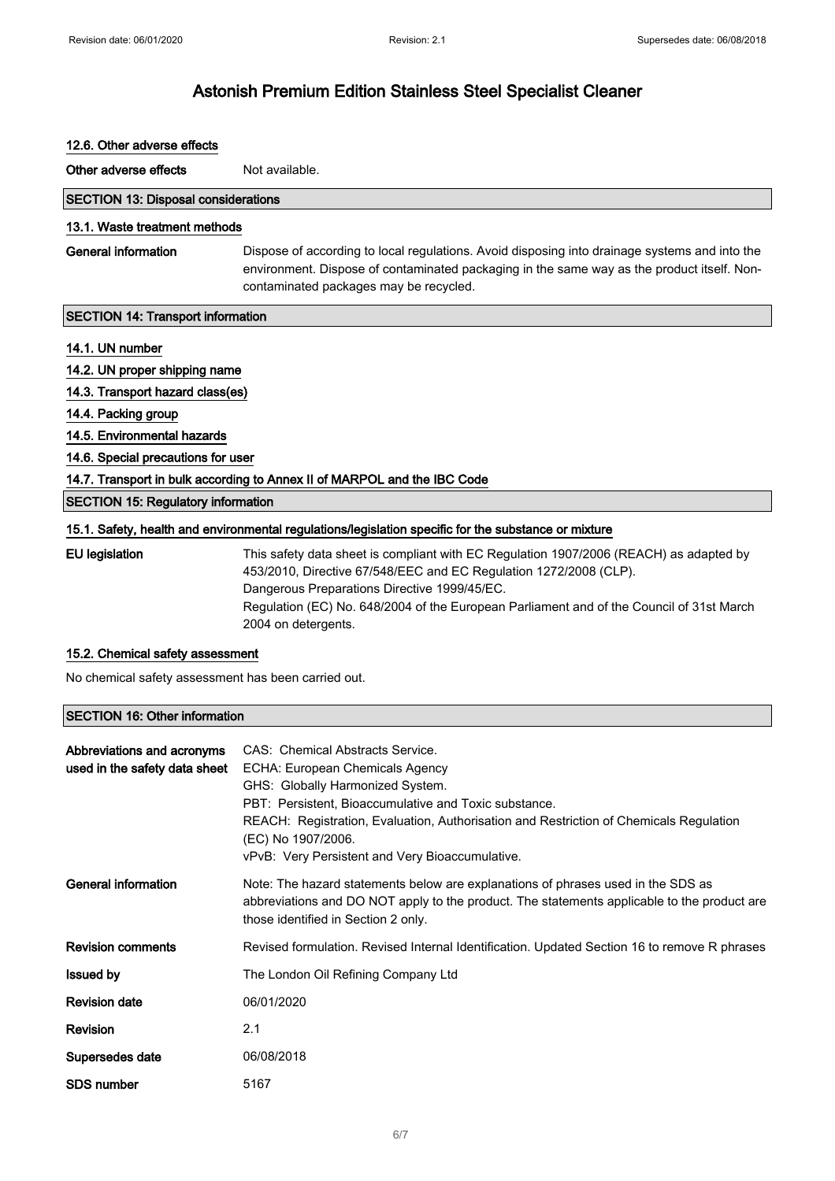| 12.6. Other adverse effects                                              |                                                                                                                                                                                                                                                                                                                                |  |
|--------------------------------------------------------------------------|--------------------------------------------------------------------------------------------------------------------------------------------------------------------------------------------------------------------------------------------------------------------------------------------------------------------------------|--|
| Other adverse effects                                                    | Not available.                                                                                                                                                                                                                                                                                                                 |  |
| <b>SECTION 13: Disposal considerations</b>                               |                                                                                                                                                                                                                                                                                                                                |  |
| 13.1. Waste treatment methods                                            |                                                                                                                                                                                                                                                                                                                                |  |
| General information                                                      | Dispose of according to local regulations. Avoid disposing into drainage systems and into the<br>environment. Dispose of contaminated packaging in the same way as the product itself. Non-<br>contaminated packages may be recycled.                                                                                          |  |
| <b>SECTION 14: Transport information</b>                                 |                                                                                                                                                                                                                                                                                                                                |  |
| 14.1. UN number                                                          |                                                                                                                                                                                                                                                                                                                                |  |
| 14.2. UN proper shipping name                                            |                                                                                                                                                                                                                                                                                                                                |  |
| 14.3. Transport hazard class(es)                                         |                                                                                                                                                                                                                                                                                                                                |  |
| 14.4. Packing group                                                      |                                                                                                                                                                                                                                                                                                                                |  |
| 14.5. Environmental hazards                                              |                                                                                                                                                                                                                                                                                                                                |  |
| 14.6. Special precautions for user                                       |                                                                                                                                                                                                                                                                                                                                |  |
| 14.7. Transport in bulk according to Annex II of MARPOL and the IBC Code |                                                                                                                                                                                                                                                                                                                                |  |
| <b>SECTION 15: Regulatory information</b>                                |                                                                                                                                                                                                                                                                                                                                |  |
|                                                                          | 15.1. Safety, health and environmental regulations/legislation specific for the substance or mixture                                                                                                                                                                                                                           |  |
| <b>EU</b> legislation                                                    | This safety data sheet is compliant with EC Regulation 1907/2006 (REACH) as adapted by<br>453/2010, Directive 67/548/EEC and EC Regulation 1272/2008 (CLP).<br>Dangerous Preparations Directive 1999/45/EC.<br>Regulation (EC) No. 648/2004 of the European Parliament and of the Council of 31st March<br>2004 on detergents. |  |

### 15.2. Chemical safety assessment

No chemical safety assessment has been carried out.

### SECTION 16: Other information

| Abbreviations and acronyms<br>used in the safety data sheet | CAS: Chemical Abstracts Service.<br>ECHA: European Chemicals Agency<br>GHS: Globally Harmonized System.<br>PBT: Persistent, Bioaccumulative and Toxic substance.<br>REACH: Registration, Evaluation, Authorisation and Restriction of Chemicals Regulation<br>(EC) No 1907/2006.<br>vPvB: Very Persistent and Very Bioaccumulative. |
|-------------------------------------------------------------|-------------------------------------------------------------------------------------------------------------------------------------------------------------------------------------------------------------------------------------------------------------------------------------------------------------------------------------|
| General information                                         | Note: The hazard statements below are explanations of phrases used in the SDS as<br>abbreviations and DO NOT apply to the product. The statements applicable to the product are<br>those identified in Section 2 only.                                                                                                              |
| <b>Revision comments</b>                                    | Revised formulation. Revised Internal Identification. Updated Section 16 to remove R phrases                                                                                                                                                                                                                                        |
| <b>Issued by</b>                                            | The London Oil Refining Company Ltd                                                                                                                                                                                                                                                                                                 |
| <b>Revision date</b>                                        | 06/01/2020                                                                                                                                                                                                                                                                                                                          |
| Revision                                                    | 2.1                                                                                                                                                                                                                                                                                                                                 |
| Supersedes date                                             | 06/08/2018                                                                                                                                                                                                                                                                                                                          |
| <b>SDS number</b>                                           | 5167                                                                                                                                                                                                                                                                                                                                |